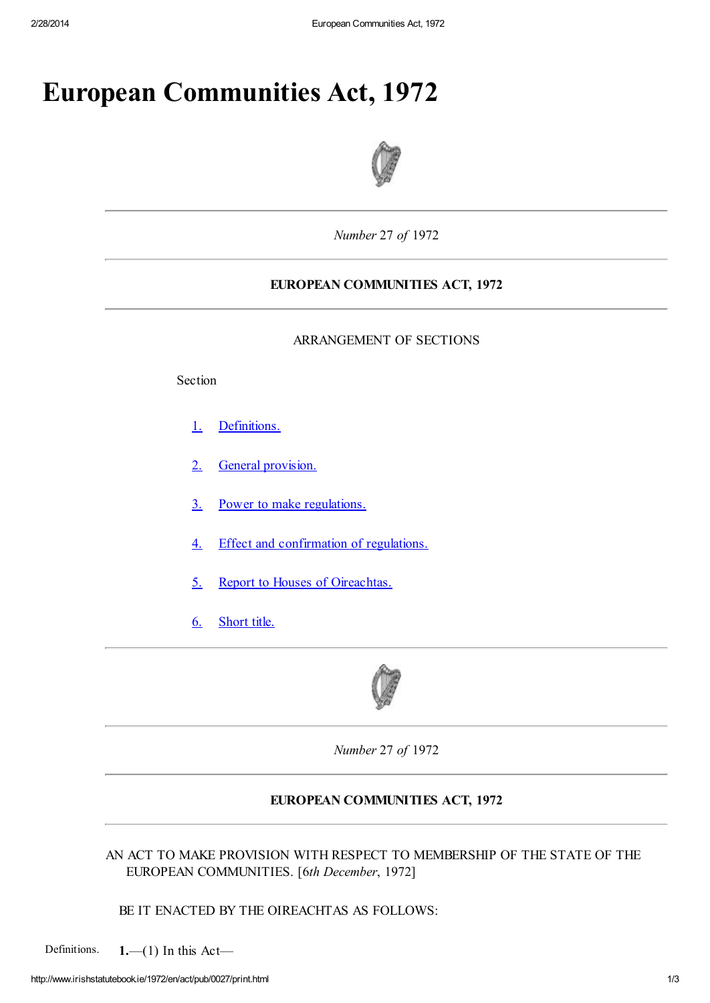# European Communities Act, 1972



*Number* 27 *of* 1972

## EUROPEAN COMMUNITIES ACT, 1972

#### ARRANGEMENT OF SECTIONS

Section

- 1. Definitions.
- 2. General provision.
- 3. Power to make regulations.
- 4. Effect and confirmation of regulations.
- 5. Report to Houses of Oireachtas.
- 6. Short title.



*Number* 27 *of* 1972

### EUROPEAN COMMUNITIES ACT, 1972

AN ACT TO MAKE PROVISION WITH RESPECT TO MEMBERSHIP OF THE STATE OF THE EUROPEAN COMMUNITIES. [6*th December*, 1972]

## BE IT ENACTED BY THE OIREACHTAS AS FOLLOWS:

Definitions.  $1,-(1)$  In this Act-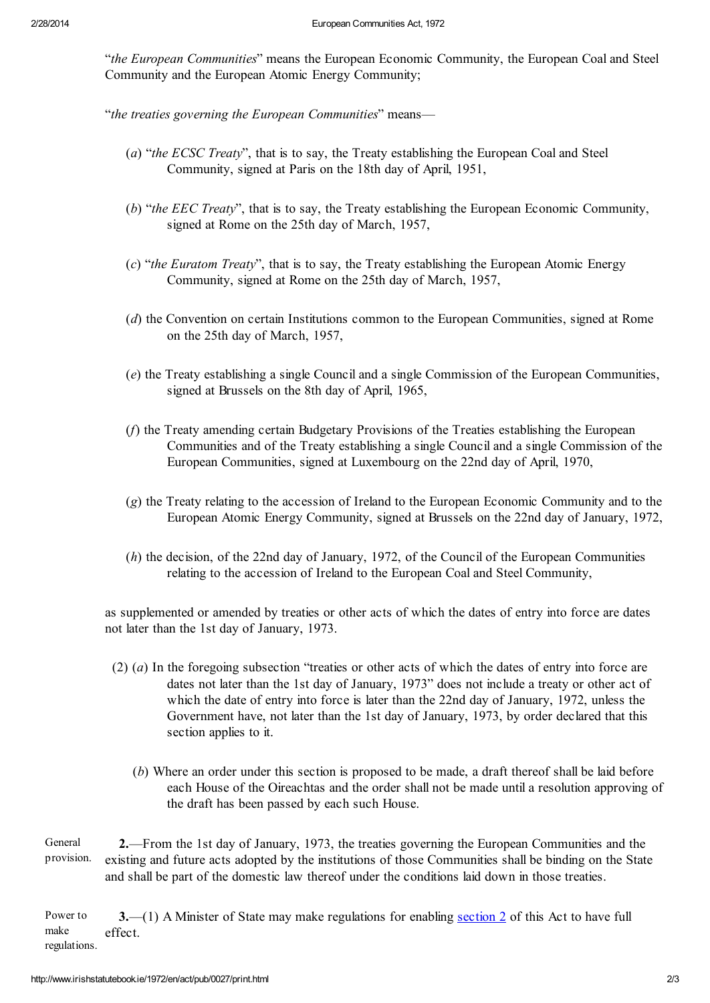"*the European Communities*" means the European Economic Community, the European Coal and Steel Community and the European Atomic Energy Community;

"*the treaties governing the European Communities*" means—

- (*a*) "*the ECSC Treaty*", that is to say, the Treaty establishing the European Coal and Steel Community, signed at Paris on the 18th day of April, 1951,
- (*b*) "*the EEC Treaty*", that is to say, the Treaty establishing the European Economic Community, signed at Rome on the 25th day of March, 1957,
- (*c*) "*the Euratom Treaty*", that is to say, the Treaty establishing the European Atomic Energy Community, signed at Rome on the 25th day of March, 1957,
- (*d*) the Convention on certain Institutions common to the European Communities, signed at Rome on the 25th day of March, 1957,
- (*e*) the Treaty establishing a single Council and a single Commission of the European Communities, signed at Brussels on the 8th day of April, 1965,
- (*f*) the Treaty amending certain Budgetary Provisions of the Treaties establishing the European Communities and of the Treaty establishing a single Council and a single Commission of the European Communities, signed at Luxembourg on the 22nd day of April, 1970,
- (*g*) the Treaty relating to the accession of Ireland to the European Economic Community and to the European Atomic Energy Community, signed at Brussels on the 22nd day of January, 1972,
- (*h*) the decision, of the 22nd day of January, 1972, of the Council of the European Communities relating to the accession of Ireland to the European Coal and Steel Community,

as supplemented or amended by treaties or other acts of which the dates of entry into force are dates not later than the 1st day of January, 1973.

- (2) (*a*) In the foregoing subsection "treaties or other acts of which the dates of entry into force are dates not later than the 1st day of January, 1973" does not include a treaty or other act of which the date of entry into force is later than the 22nd day of January, 1972, unless the Government have, not later than the 1st day of January, 1973, by order declared that this section applies to it.
	- (*b*) Where an order under this section is proposed to be made, a draft thereof shall be laid before each House of the Oireachtas and the order shall not be made until a resolution approving of the draft has been passed by each such House.
- General provision. 2.—From the 1st day of January, 1973, the treaties governing the European Communities and the existing and future acts adopted by the institutions of those Communities shall be binding on the State and shall be part of the domestic law thereof under the conditions laid down in those treaties.

Power to make regulations. 3.—(1) A Minister of State may make regulations for enabling section 2 of this Act to have full effect.